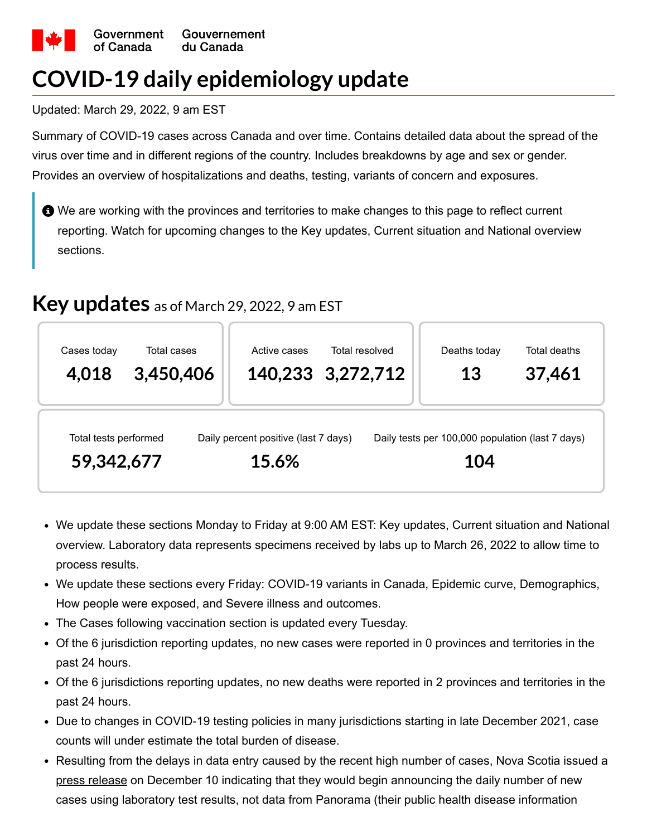

# **COVID-19 daily epidemiology update**

Updated: March 29, 2022, 9 am EST

Summary of COVID-19 cases across Canada and over time. Contains detailed data about the spread of the virus over time and in different regions of the country. Includes breakdowns by age and sex or gender. Provides an overview of hospitalizations and deaths, testing, variants of concern and exposures.

 $\bigoplus$  We are working with the provinces and territories to make changes to this page to reflect current reporting. Watch for upcoming changes to the Key updates, Current situation and National overview sections.

### **Key updates** as of March 29, 2022, <sup>9</sup> am EST

| Cases today                         | Total cases | Active cases                                  | Total resolved    | Deaths today                                            | Total deaths |
|-------------------------------------|-------------|-----------------------------------------------|-------------------|---------------------------------------------------------|--------------|
| 4,018                               | 3,450,406   |                                               | 140,233 3,272,712 | 13                                                      | 37,461       |
| Total tests performed<br>59,342,677 |             | Daily percent positive (last 7 days)<br>15.6% |                   | Daily tests per 100,000 population (last 7 days)<br>104 |              |

- We update these sections Monday to Friday at 9:00 AM EST: Key updates, Current situation and National overview. Laboratory data represents specimens received by labs up to March 26, 2022 to allow time to process results.
- We update these sections every Friday: COVID-19 variants in Canada, Epidemic curve, Demographics, How people were exposed, and Severe illness and outcomes.
- The Cases following vaccination section is updated every Tuesday.
- Of the 6 jurisdiction reporting updates, no new cases were reported in 0 provinces and territories in the past 24 hours.
- Of the 6 jurisdictions reporting updates, no new deaths were reported in 2 provinces and territories in the past 24 hours.
- Due to changes in COVID-19 testing policies in many jurisdictions starting in late December 2021, case counts will under estimate the total burden of disease.
- Resulting from the delays in data entry caused by the recent high number of cases, Nova Scotia issued a [press release](https://novascotia.ca/news/release/?id=20211210011) on December 10 indicating that they would begin announcing the daily number of new cases using laboratory test results, not data from Panorama (their public health disease information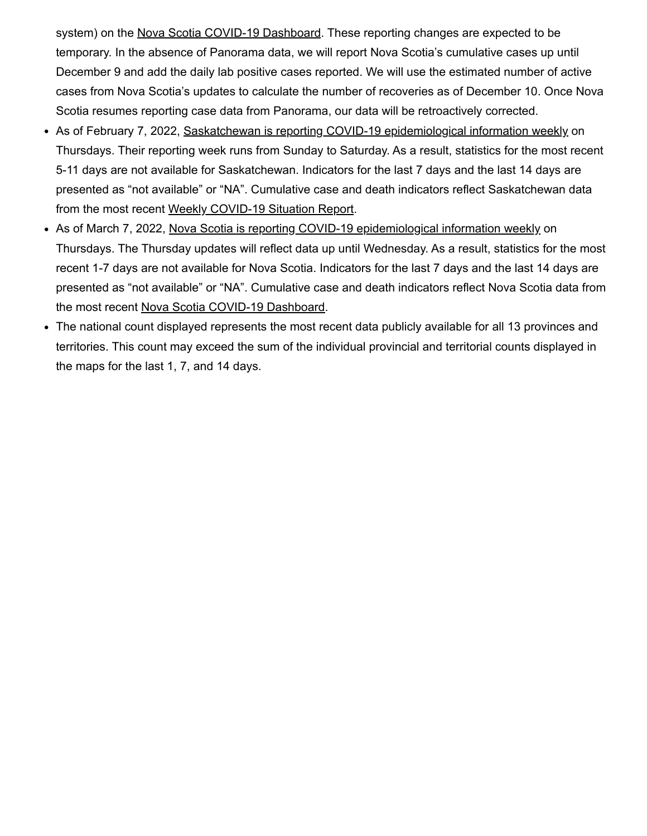system) on the [Nova Scotia COVID-19 Dashboard.](https://experience.arcgis.com/experience/204d6ed723244dfbb763ca3f913c5cad) These reporting changes are expected to be temporary. In the absence of Panorama data, we will report Nova Scotia's cumulative cases up until December 9 and add the daily lab positive cases reported. We will use the estimated number of active cases from Nova Scotia's updates to calculate the number of recoveries as of December 10. Once Nova Scotia resumes reporting case data from Panorama, our data will be retroactively corrected.

- As of February 7, 2022, [Saskatchewan is reporting COVID-19 epidemiological information weekly](https://www.saskatchewan.ca/government/news-and-media/2022/february/03/living-with-covid-transition-of-public-health-management) on Thursdays. Their reporting week runs from Sunday to Saturday. As a result, statistics for the most recent 5-11 days are not available for Saskatchewan. Indicators for the last 7 days and the last 14 days are presented as "not available" or "NA". Cumulative case and death indicators reflect Saskatchewan data from the most recent [Weekly COVID-19 Situation Report.](https://www.saskatchewan.ca/government/health-care-administration-and-provider-resources/treatment-procedures-and-guidelines/emerging-public-health-issues/2019-novel-coronavirus/cases-and-risk-of-covid-19-in-saskatchewan)
- As of March 7, 2022, [Nova Scotia is reporting COVID-19 epidemiological information weekly](https://novascotia.ca/news/release/?id=20220304004) on Thursdays. The Thursday updates will reflect data up until Wednesday. As a result, statistics for the most recent 1-7 days are not available for Nova Scotia. Indicators for the last 7 days and the last 14 days are presented as "not available" or "NA". Cumulative case and death indicators reflect Nova Scotia data from the most recent [Nova Scotia COVID-19 Dashboard](https://experience.arcgis.com/experience/204d6ed723244dfbb763ca3f913c5cad).
- The national count displayed represents the most recent data publicly available for all 13 provinces and territories. This count may exceed the sum of the individual provincial and territorial counts displayed in the maps for the last 1, 7, and 14 days.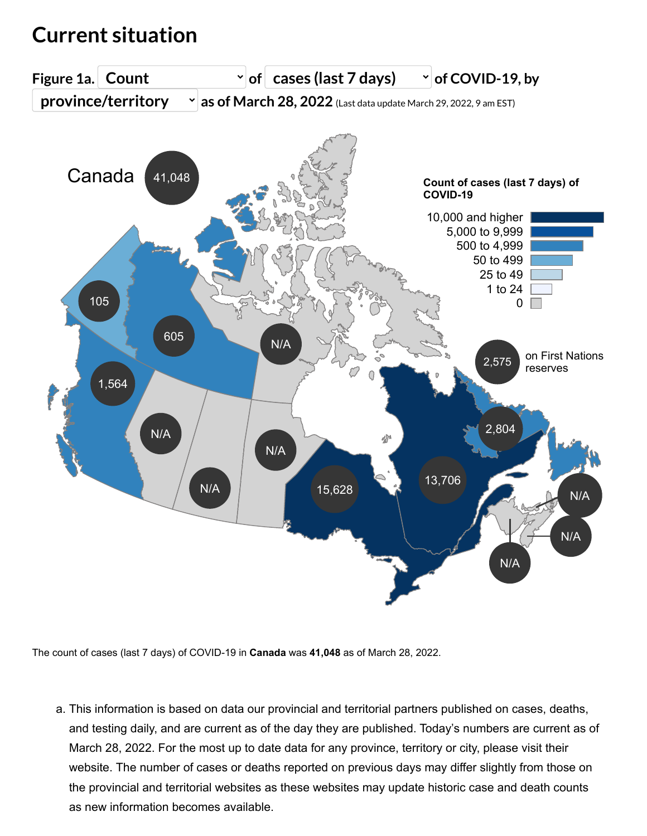### <span id="page-2-0"></span>**Current situation**



The count of cases (last 7 days) of COVID-19 in **Canada** was **41,048** as of March 28, 2022.

a. This information is based on data our provincial and territorial partners published on cases, deaths, and testing daily, and are current as of the day they are published. Today's numbers are current as of March 28, 2022. For the most up to date data for any province, territory or city, please visit their website. The number of cases or deaths reported on previous days may differ slightly from those on the provincial and territorial websites as these websites may update historic case and death counts as new information becomes available.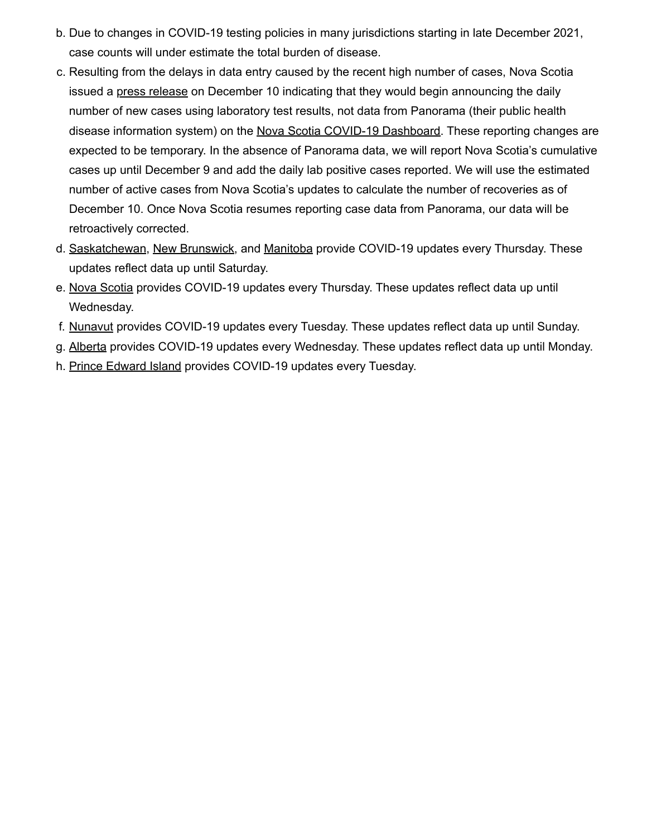- b. Due to changes in COVID-19 testing policies in many jurisdictions starting in late December 2021, case counts will under estimate the total burden of disease.
- c. Resulting from the delays in data entry caused by the recent high number of cases, Nova Scotia issued a [press release](https://novascotia.ca/news/release/?id=20211210011) on December 10 indicating that they would begin announcing the daily number of new cases using laboratory test results, not data from Panorama (their public health disease information system) on the [Nova Scotia COVID-19 Dashboard.](https://experience.arcgis.com/experience/204d6ed723244dfbb763ca3f913c5cad) These reporting changes are expected to be temporary. In the absence of Panorama data, we will report Nova Scotia's cumulative cases up until December 9 and add the daily lab positive cases reported. We will use the estimated number of active cases from Nova Scotia's updates to calculate the number of recoveries as of December 10. Once Nova Scotia resumes reporting case data from Panorama, our data will be retroactively corrected.
- d. [Saskatchewan,](https://www.saskatchewan.ca/government/news-and-media/2022/february/03/living-with-covid-transition-of-public-health-management) [New Brunswick,](https://www2.gnb.ca/content/gnb/en/corporate/promo/covid-19/news/news_release.2022.03.0129.html) and [Manitoba](https://news.gov.mb.ca/news/index.html?item=53900) provide COVID-19 updates every Thursday. These updates reflect data up until Saturday.
- e. [Nova Scotia](https://novascotia.ca/news/release/?id=20220304004) provides COVID-19 updates every Thursday. These updates reflect data up until Wednesday.
- f. [Nunavut](https://www.gov.nu.ca/health/information/covid-19-novel-coronavirus) provides COVID-19 updates every Tuesday. These updates reflect data up until Sunday.
- g. [Alberta](https://www.alberta.ca/release.cfm?xID=82135CFA5BAD6-F10B-DDED-767B77896FEEBA78) provides COVID-19 updates every Wednesday. These updates reflect data up until Monday.
- h. [Prince Edward Island](https://www.princeedwardisland.ca/en/information/health-and-wellness/moving-on-transition-plan-to-living-with-covid-19#utm_source=redirect&utm_medium=url&utm_campaign=movingon) provides COVID-19 updates every Tuesday.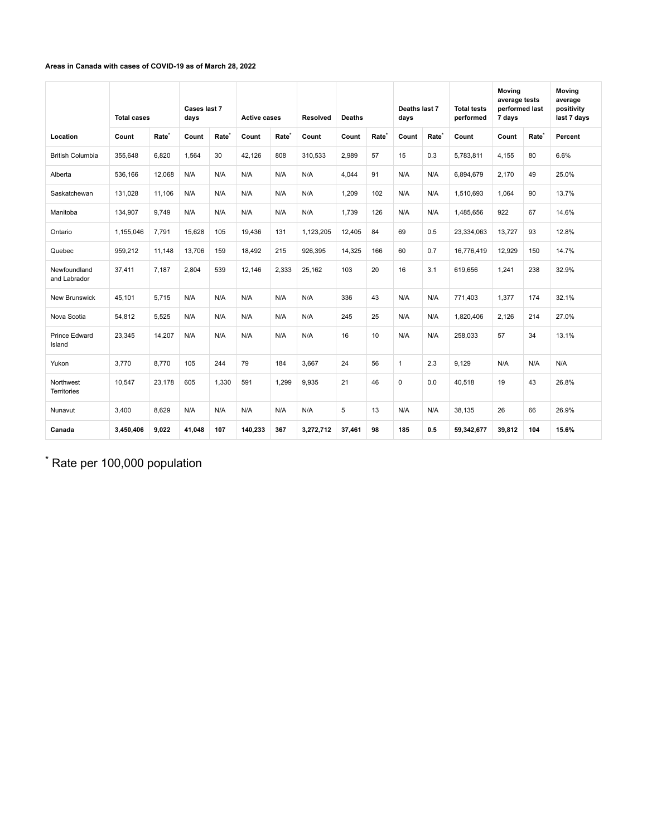#### <span id="page-4-0"></span>**Areas in Canada with cases of COVID-19 as of March 28, 2022**

|                                 | <b>Total cases</b> |                   | Cases last 7<br>days |                   | <b>Active cases</b> |                   | Resolved  | <b>Deaths</b> |                   | Deaths last 7<br>days |                   | <b>Total tests</b><br>performed | <b>Moving</b><br>average tests<br>performed last<br>7 days |                   | <b>Moving</b><br>average<br>positivity<br>last 7 days |
|---------------------------------|--------------------|-------------------|----------------------|-------------------|---------------------|-------------------|-----------|---------------|-------------------|-----------------------|-------------------|---------------------------------|------------------------------------------------------------|-------------------|-------------------------------------------------------|
| Location                        | Count              | Rate <sup>®</sup> | Count                | Rate <sup>®</sup> | Count               | Rate <sup>®</sup> | Count     | Count         | Rate <sup>®</sup> | Count                 | Rate <sup>*</sup> | Count                           | Count                                                      | Rate <sup>®</sup> | Percent                                               |
| <b>British Columbia</b>         | 355,648            | 6.820             | 1.564                | 30                | 42,126              | 808               | 310.533   | 2,989         | 57                | 15                    | 0.3               | 5,783,811                       | 4.155                                                      | 80                | 6.6%                                                  |
| Alberta                         | 536,166            | 12.068            | N/A                  | N/A               | N/A                 | N/A               | N/A       | 4.044         | 91                | N/A                   | N/A               | 6,894,679                       | 2.170                                                      | 49                | 25.0%                                                 |
| Saskatchewan                    | 131,028            | 11.106            | N/A                  | N/A               | N/A                 | N/A               | N/A       | 1.209         | 102               | N/A                   | N/A               | 1,510,693                       | 1.064                                                      | 90                | 13.7%                                                 |
| Manitoba                        | 134,907            | 9.749             | N/A                  | N/A               | N/A                 | N/A               | N/A       | 1.739         | 126               | N/A                   | N/A               | 1.485.656                       | 922                                                        | 67                | 14.6%                                                 |
| Ontario                         | 1,155,046          | 7,791             | 15,628               | 105               | 19,436              | 131               | 1,123,205 | 12,405        | 84                | 69                    | 0.5               | 23,334,063                      | 13,727                                                     | 93                | 12.8%                                                 |
| Quebec                          | 959,212            | 11.148            | 13.706               | 159               | 18.492              | 215               | 926.395   | 14,325        | 166               | 60                    | 0.7               | 16.776.419                      | 12.929                                                     | 150               | 14.7%                                                 |
| Newfoundland<br>and Labrador    | 37,411             | 7.187             | 2,804                | 539               | 12,146              | 2,333             | 25,162    | 103           | 20                | 16                    | 3.1               | 619,656                         | 1,241                                                      | 238               | 32.9%                                                 |
| <b>New Brunswick</b>            | 45,101             | 5.715             | N/A                  | N/A               | N/A                 | N/A               | N/A       | 336           | 43                | N/A                   | N/A               | 771.403                         | 1,377                                                      | 174               | 32.1%                                                 |
| Nova Scotia                     | 54,812             | 5.525             | N/A                  | N/A               | N/A                 | N/A               | N/A       | 245           | 25                | N/A                   | N/A               | 1.820.406                       | 2.126                                                      | 214               | 27.0%                                                 |
| <b>Prince Edward</b><br>Island  | 23,345             | 14,207            | N/A                  | N/A               | N/A                 | N/A               | N/A       | 16            | 10                | N/A                   | N/A               | 258,033                         | 57                                                         | 34                | 13.1%                                                 |
| Yukon                           | 3.770              | 8.770             | 105                  | 244               | 79                  | 184               | 3.667     | 24            | 56                | $\overline{1}$        | 2.3               | 9.129                           | N/A                                                        | N/A               | N/A                                                   |
| Northwest<br><b>Territories</b> | 10,547             | 23.178            | 605                  | 1.330             | 591                 | 1.299             | 9.935     | 21            | 46                | $\mathbf 0$           | 0.0               | 40.518                          | 19                                                         | 43                | 26.8%                                                 |
| Nunavut                         | 3,400              | 8.629             | N/A                  | N/A               | N/A                 | N/A               | N/A       | 5             | 13                | N/A                   | N/A               | 38.135                          | 26                                                         | 66                | 26.9%                                                 |
| Canada                          | 3,450,406          | 9.022             | 41.048               | 107               | 140,233             | 367               | 3,272,712 | 37.461        | 98                | 185                   | 0.5               | 59,342,677                      | 39.812                                                     | 104               | 15.6%                                                 |

 $*$  Rate per 100,000 population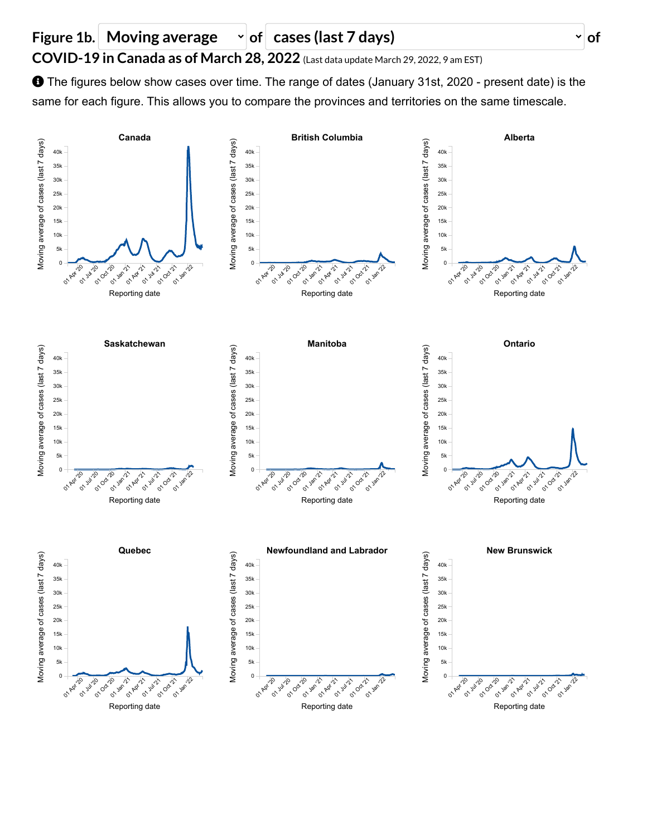



01 Apr '20 **o**rite 01 Oct 120 01 Jan 21 01 Apr **01 Jul 12-1 01 Oct 121 01 Jan 22** 

Reporting date

0 Apr 120 **01 Jul 120 01 Oct 120 01** Jan 121 **01 Apr 121 01 Jul 121 01 Oct 121** 01 Jan 12

Reporting date

**01 Jan 22** 

0

01 Apr 120 **01 Jul 120 OCELLA 01 Jan 121 01 Apr 121 01 Jul 121 01 Oct 1/21 01 Jan 22** 

Reporting date

 $\Omega$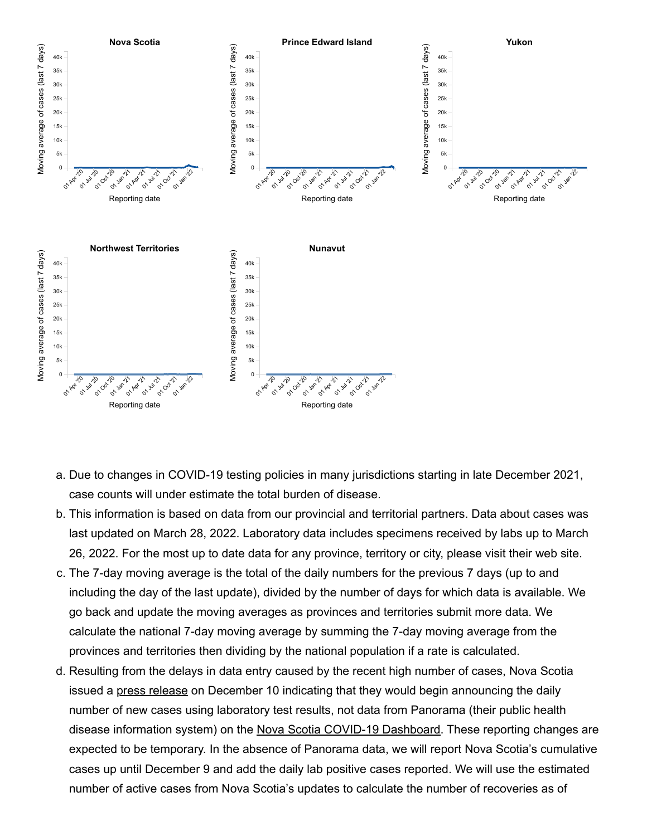

- a. Due to changes in COVID-19 testing policies in many jurisdictions starting in late December 2021, case counts will under estimate the total burden of disease.
- b. This information is based on data from our provincial and territorial partners. Data about cases was last updated on March 28, 2022. Laboratory data includes specimens received by labs up to March 26, 2022. For the most up to date data for any province, territory or city, please visit their web site.
- c. The 7-day moving average is the total of the daily numbers for the previous 7 days (up to and including the day of the last update), divided by the number of days for which data is available. We go back and update the moving averages as provinces and territories submit more data. We calculate the national 7-day moving average by summing the 7-day moving average from the provinces and territories then dividing by the national population if a rate is calculated.
- d. Resulting from the delays in data entry caused by the recent high number of cases, Nova Scotia issued a [press release](https://novascotia.ca/news/release/?id=20211210011) on December 10 indicating that they would begin announcing the daily number of new cases using laboratory test results, not data from Panorama (their public health disease information system) on the [Nova Scotia COVID-19 Dashboard.](https://experience.arcgis.com/experience/204d6ed723244dfbb763ca3f913c5cad) These reporting changes are expected to be temporary. In the absence of Panorama data, we will report Nova Scotia's cumulative cases up until December 9 and add the daily lab positive cases reported. We will use the estimated number of active cases from Nova Scotia's updates to calculate the number of recoveries as of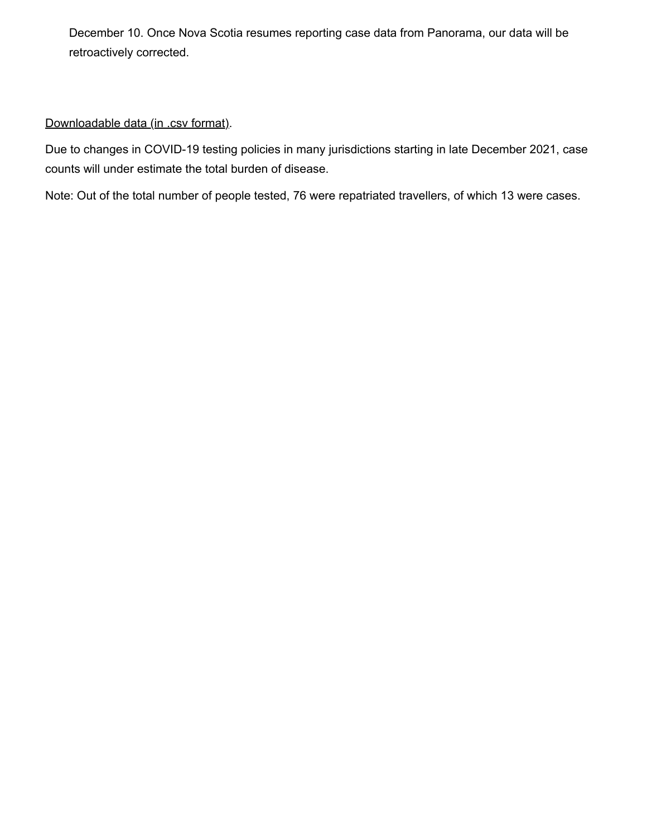December 10. Once Nova Scotia resumes reporting case data from Panorama, our data will be retroactively corrected.

#### [Downloadable data \(in .csv format\).](http://health-infobase.canada.ca/src/data/covidLive/covid19-download.csv)

Due to changes in COVID-19 testing policies in many jurisdictions starting in late December 2021, case counts will under estimate the total burden of disease.

Note: Out of the total number of people tested, 76 were repatriated travellers, of which 13 were cases.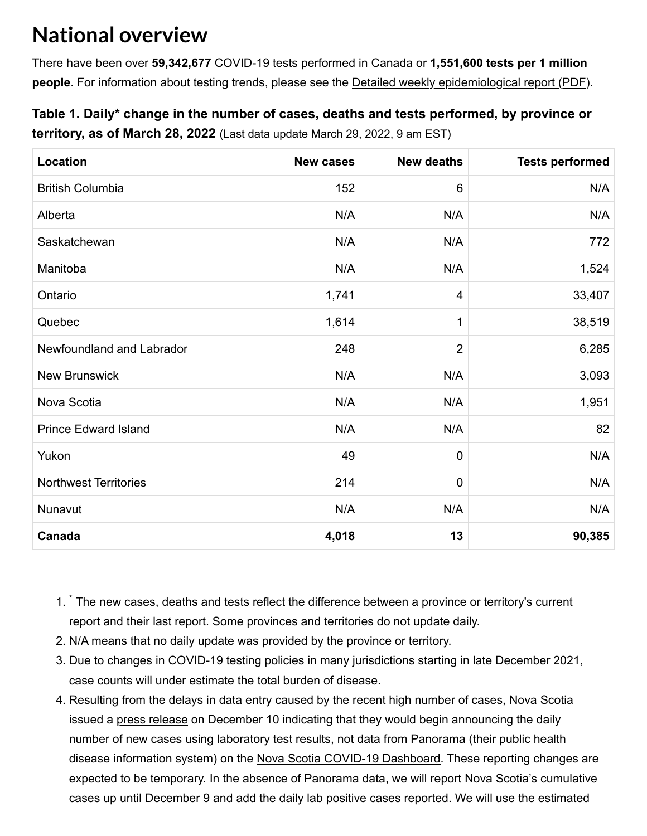### <span id="page-8-1"></span>**National overview**

There have been over **59,342,677** COVID-19 tests performed in Canada or **1,551,600 tests per 1 million people**. For information about testing trends, please see the **Detailed weekly epidemiological report (PDF)**.

### <span id="page-8-0"></span>**Table 1. Daily\* change in the number of cases, deaths and tests performed, by province or territory, as of March 28, 2022** (Last data update March 29, 2022, 9 am EST)

| Location                     | <b>New cases</b> | <b>New deaths</b>       | <b>Tests performed</b> |
|------------------------------|------------------|-------------------------|------------------------|
| <b>British Columbia</b>      | 152              | $6\phantom{1}$          | N/A                    |
| Alberta                      | N/A              | N/A                     | N/A                    |
| Saskatchewan                 | N/A              | N/A                     | 772                    |
| Manitoba                     | N/A              | N/A                     | 1,524                  |
| Ontario                      | 1,741            | $\overline{\mathbf{4}}$ | 33,407                 |
| Quebec                       | 1,614            | 1                       | 38,519                 |
| Newfoundland and Labrador    | 248              | $\overline{2}$          | 6,285                  |
| <b>New Brunswick</b>         | N/A              | N/A                     | 3,093                  |
| Nova Scotia                  | N/A              | N/A                     | 1,951                  |
| <b>Prince Edward Island</b>  | N/A              | N/A                     | 82                     |
| Yukon                        | 49               | $\mathbf 0$             | N/A                    |
| <b>Northwest Territories</b> | 214              | $\mathbf 0$             | N/A                    |
| Nunavut                      | N/A              | N/A                     | N/A                    |
| Canada                       | 4,018            | 13                      | 90,385                 |

- 1.<sup>\*</sup> The new cases, deaths and tests reflect the difference between a province or territory's current report and their last report. Some provinces and territories do not update daily.
- 2. N/A means that no daily update was provided by the province or territory.
- 3. Due to changes in COVID-19 testing policies in many jurisdictions starting in late December 2021, case counts will under estimate the total burden of disease.
- 4. Resulting from the delays in data entry caused by the recent high number of cases, Nova Scotia issued a [press release](https://novascotia.ca/news/release/?id=20211210011) on December 10 indicating that they would begin announcing the daily number of new cases using laboratory test results, not data from Panorama (their public health disease information system) on the [Nova Scotia COVID-19 Dashboard.](https://experience.arcgis.com/experience/204d6ed723244dfbb763ca3f913c5cad) These reporting changes are expected to be temporary. In the absence of Panorama data, we will report Nova Scotia's cumulative cases up until December 9 and add the daily lab positive cases reported. We will use the estimated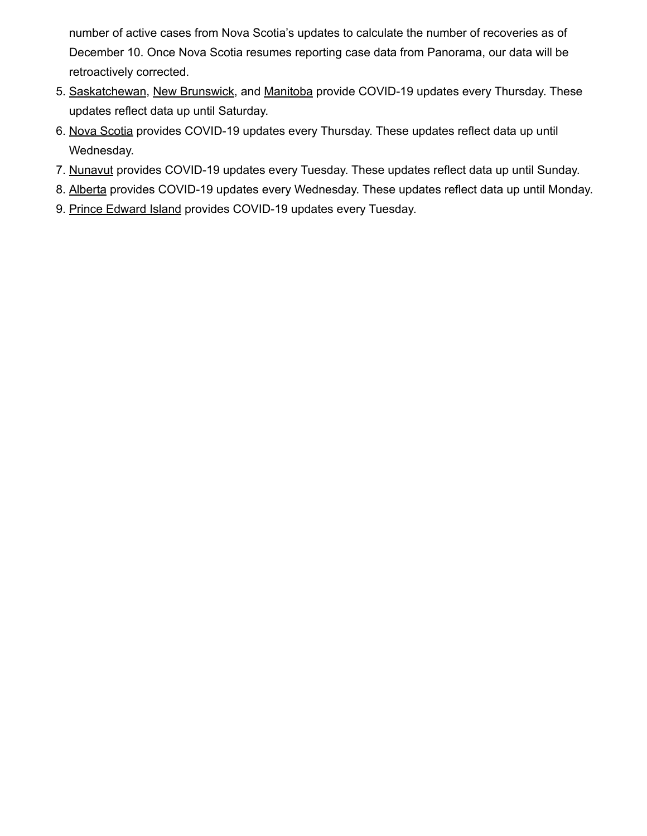number of active cases from Nova Scotia's updates to calculate the number of recoveries as of December 10. Once Nova Scotia resumes reporting case data from Panorama, our data will be retroactively corrected.

- 5. [Saskatchewan,](https://www.saskatchewan.ca/government/news-and-media/2022/february/03/living-with-covid-transition-of-public-health-management) [New Brunswick,](https://www2.gnb.ca/content/gnb/en/corporate/promo/covid-19/news/news_release.2022.03.0129.html) and [Manitoba](https://news.gov.mb.ca/news/index.html?item=53900) provide COVID-19 updates every Thursday. These updates reflect data up until Saturday.
- 6. [Nova Scotia](https://novascotia.ca/news/release/?id=20220304004) provides COVID-19 updates every Thursday. These updates reflect data up until Wednesday.
- 7. [Nunavut](https://www.gov.nu.ca/health/information/covid-19-novel-coronavirus) provides COVID-19 updates every Tuesday. These updates reflect data up until Sunday.
- 8. [Alberta](https://www.alberta.ca/release.cfm?xID=82135CFA5BAD6-F10B-DDED-767B77896FEEBA78) provides COVID-19 updates every Wednesday. These updates reflect data up until Monday.
- 9. [Prince Edward Island](https://www.princeedwardisland.ca/en/information/health-and-wellness/moving-on-transition-plan-to-living-with-covid-19#utm_source=redirect&utm_medium=url&utm_campaign=movingon) provides COVID-19 updates every Tuesday.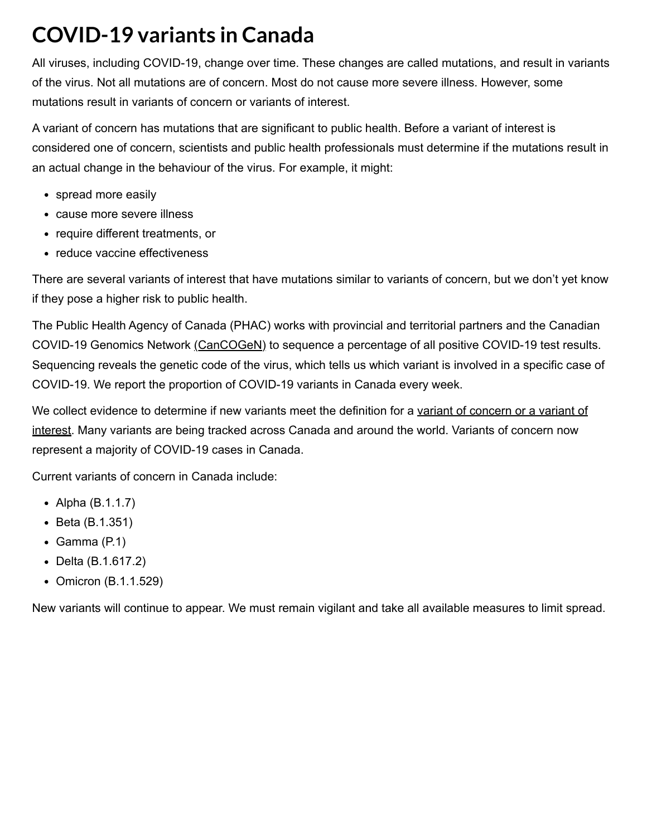### **COVID-19 variants in Canada**

All viruses, including COVID-19, change over time. These changes are called mutations, and result in variants of the virus. Not all mutations are of concern. Most do not cause more severe illness. However, some mutations result in variants of concern or variants of interest.

A variant of concern has mutations that are significant to public health. Before a variant of interest is considered one of concern, scientists and public health professionals must determine if the mutations result in an actual change in the behaviour of the virus. For example, it might:

- spread more easily
- cause more severe illness
- require different treatments, or
- reduce vaccine effectiveness

There are several variants of interest that have mutations similar to variants of concern, but we don't yet know if they pose a higher risk to public health.

The Public Health Agency of Canada (PHAC) works with provincial and territorial partners and the Canadian COVID-19 Genomics Network [\(CanCOGeN\)](https://www.genomecanada.ca/en/cancogen) to sequence a percentage of all positive COVID-19 test results. Sequencing reveals the genetic code of the virus, which tells us which variant is involved in a specific case of COVID-19. We report the proportion of COVID-19 variants in Canada every week.

[We collect evidence to determine if new variants meet the definition for a variant of concern or a variant of](https://www.canada.ca/en/public-health/services/diseases/2019-novel-coronavirus-infection/health-professionals/testing-diagnosing-case-reporting/sars-cov-2-variants-national-definitions-classifications-public-health-actions.html) interest. Many variants are being tracked across Canada and around the world. Variants of concern now represent a majority of COVID-19 cases in Canada.

Current variants of concern in Canada include:

- Alpha  $(B.1.1.7)$
- Beta (B.1.351)
- $\bullet$  Gamma (P.1)
- Delta (B.1.617.2)
- Omicron (B.1.1.529)

New variants will continue to appear. We must remain vigilant and take all available measures to limit spread.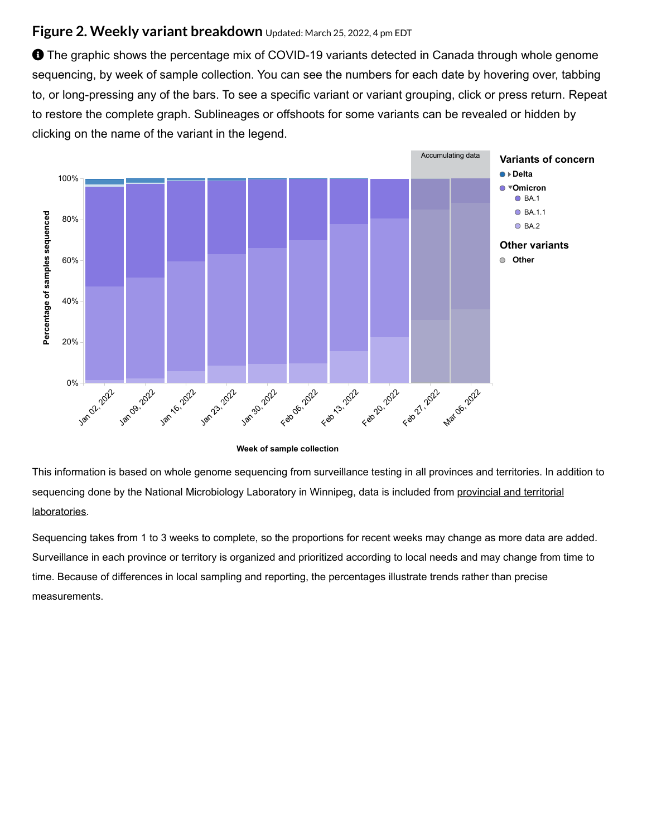#### **Figure 2. Weekly variant breakdown** Updated: March 25, 2022, <sup>4</sup> pm EDT

**O** The graphic shows the percentage mix of COVID-19 variants detected in Canada through whole genome sequencing, by week of sample collection. You can see the numbers for each date by hovering over, tabbing to, or long-pressing any of the bars. To see a specific variant or variant grouping, click or press return. Repeat to restore the complete graph. Sublineages or offshoots for some variants can be revealed or hidden by clicking on the name of the variant in the legend.



**Week of sample collection**

This information is based on whole genome sequencing from surveillance testing in all provinces and territories. In addition to sequencing done by the [National Microbiology](#page-12-0) Laboratory in Winnipeg, data is included from provincial and territorial laboratories.

Sequencing takes from 1 to 3 weeks to complete, so the proportions for recent weeks may change as more data are added. Surveillance in each province or territory is organized and prioritized according to local needs and may change from time to time. Because of differences in local sampling and reporting, the percentages illustrate trends rather than precise measurements.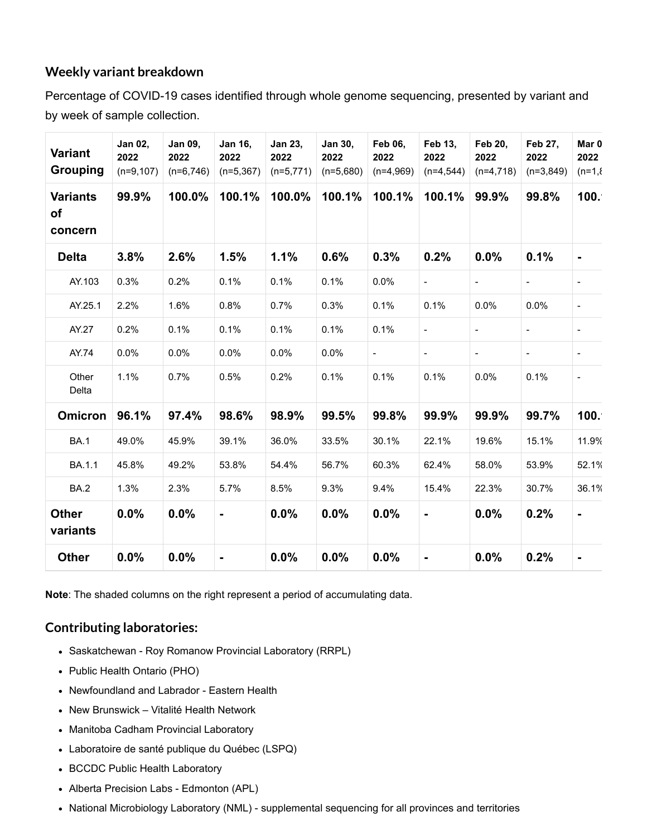#### **Weekly variant breakdown**

Percentage of COVID-19 cases identified through whole genome sequencing, presented by variant and by week of sample collection.

| <b>Variant</b><br><b>Grouping</b> | Jan 02,<br>2022<br>$(n=9,107)$ | Jan 09,<br>2022<br>$(n=6,746)$ | <b>Jan 16,</b><br>2022<br>$(n=5,367)$ | Jan 23,<br>2022<br>$(n=5,771)$ | Jan 30,<br>2022<br>$(n=5,680)$ | <b>Feb 06,</b><br>2022<br>$(n=4,969)$ | Feb 13,<br>2022<br>$(n=4,544)$ | <b>Feb 20,</b><br>2022<br>$(n=4,718)$ | Feb 27,<br>2022<br>$(n=3,849)$ | Mar 0<br>2022<br>$(n=1,8)$ |
|-----------------------------------|--------------------------------|--------------------------------|---------------------------------------|--------------------------------|--------------------------------|---------------------------------------|--------------------------------|---------------------------------------|--------------------------------|----------------------------|
| <b>Variants</b><br>of<br>concern  | 99.9%                          | 100.0%                         | 100.1%                                | 100.0%                         | 100.1%                         | 100.1%                                | 100.1%                         | 99.9%                                 | 99.8%                          | 100.                       |
| <b>Delta</b>                      | 3.8%                           | 2.6%                           | 1.5%                                  | 1.1%                           | 0.6%                           | 0.3%                                  | 0.2%                           | 0.0%                                  | 0.1%                           | $\blacksquare$             |
| AY.103                            | 0.3%                           | 0.2%                           | 0.1%                                  | 0.1%                           | 0.1%                           | 0.0%                                  | $\blacksquare$                 |                                       |                                |                            |
| AY.25.1                           | 2.2%                           | 1.6%                           | 0.8%                                  | 0.7%                           | 0.3%                           | 0.1%                                  | 0.1%                           | 0.0%                                  | 0.0%                           |                            |
| AY.27                             | 0.2%                           | 0.1%                           | 0.1%                                  | 0.1%                           | 0.1%                           | 0.1%                                  | $\blacksquare$                 |                                       |                                | $\overline{\phantom{a}}$   |
| AY.74                             | 0.0%                           | 0.0%                           | 0.0%                                  | 0.0%                           | 0.0%                           | $\blacksquare$                        | $\blacksquare$                 | $\qquad \qquad \blacksquare$          | $\blacksquare$                 | $\blacksquare$             |
| Other<br>Delta                    | 1.1%                           | 0.7%                           | 0.5%                                  | 0.2%                           | 0.1%                           | 0.1%                                  | 0.1%                           | 0.0%                                  | 0.1%                           | $\overline{\phantom{a}}$   |
| <b>Omicron</b>                    | 96.1%                          | 97.4%                          | 98.6%                                 | 98.9%                          | 99.5%                          | 99.8%                                 | 99.9%                          | 99.9%                                 | 99.7%                          | 100.                       |
| <b>BA.1</b>                       | 49.0%                          | 45.9%                          | 39.1%                                 | 36.0%                          | 33.5%                          | 30.1%                                 | 22.1%                          | 19.6%                                 | 15.1%                          | 11.9%                      |
| BA.1.1                            | 45.8%                          | 49.2%                          | 53.8%                                 | 54.4%                          | 56.7%                          | 60.3%                                 | 62.4%                          | 58.0%                                 | 53.9%                          | 52.1%                      |
| <b>BA.2</b>                       | 1.3%                           | 2.3%                           | 5.7%                                  | 8.5%                           | 9.3%                           | 9.4%                                  | 15.4%                          | 22.3%                                 | 30.7%                          | 36.1%                      |
| <b>Other</b><br>variants          | 0.0%                           | 0.0%                           | $\qquad \qquad \blacksquare$          | 0.0%                           | 0.0%                           | 0.0%                                  | -                              | 0.0%                                  | 0.2%                           | -                          |
| <b>Other</b>                      | 0.0%                           | 0.0%                           | $\qquad \qquad \blacksquare$          | 0.0%                           | 0.0%                           | 0.0%                                  | $\blacksquare$                 | 0.0%                                  | 0.2%                           | $\blacksquare$             |

**Note**: The shaded columns on the right represent a period of accumulating data.

#### <span id="page-12-0"></span>**Contributing laboratories:**

- Saskatchewan Roy Romanow Provincial Laboratory (RRPL)
- Public Health Ontario (PHO)
- Newfoundland and Labrador Eastern Health
- New Brunswick Vitalité Health Network
- Manitoba Cadham Provincial Laboratory
- Laboratoire de santé publique du Québec (LSPQ)
- BCCDC Public Health Laboratory
- Alberta Precision Labs Edmonton (APL)
- National Microbiology Laboratory (NML) supplemental sequencing for all provinces and territories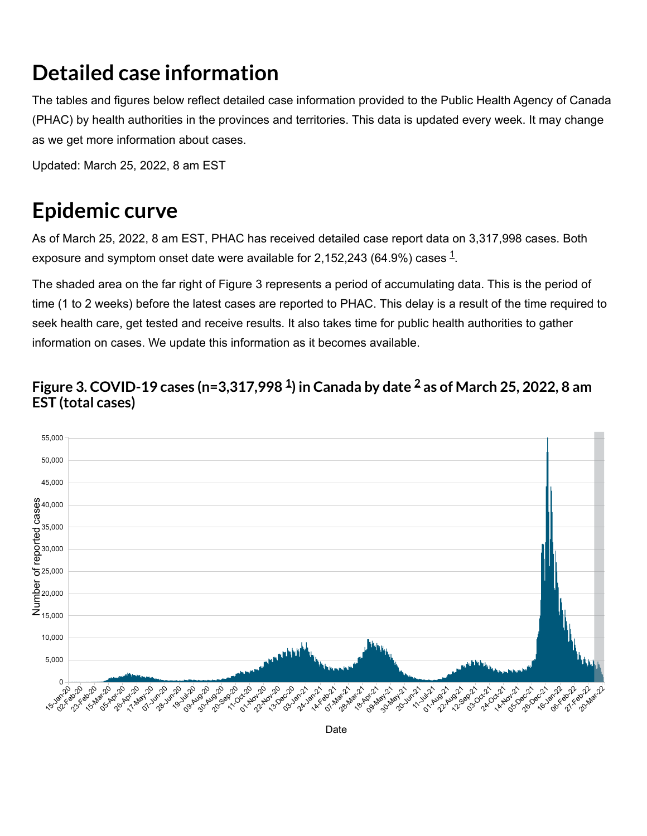## **Detailed case information**

The tables and figures below reflect detailed case information provided to the Public Health Agency of Canada (PHAC) by health authorities in the provinces and territories. This data is updated every week. It may change as we get more information about cases.

Updated: March 25, 2022, 8 am EST

## **Epidemic curve**

As of March 25, 2022, 8 am EST, PHAC has received detailed case report data on 3,317,998 cases. Both exposure and symptom onset date were available for 2,[1](#page-28-0)52,243 (64.9%) cases  $^{\rm 1}$ .

The shaded area on the far right of Figure 3 represents a period of accumulating data. This is the period of time (1 to 2 weeks) before the latest cases are reported to PHAC. This delay is a result of the time required to seek health care, get tested and receive results. It also takes time for public health authorities to gather information on cases. We update this information as it becomes available.

### **Figure 3. COVID-19 cases (n=3,317,998 ) in Canada by date as of March 25, 2022, 8 am [1](#page-28-0) [2](#page-28-1)EST (total cases)**



Date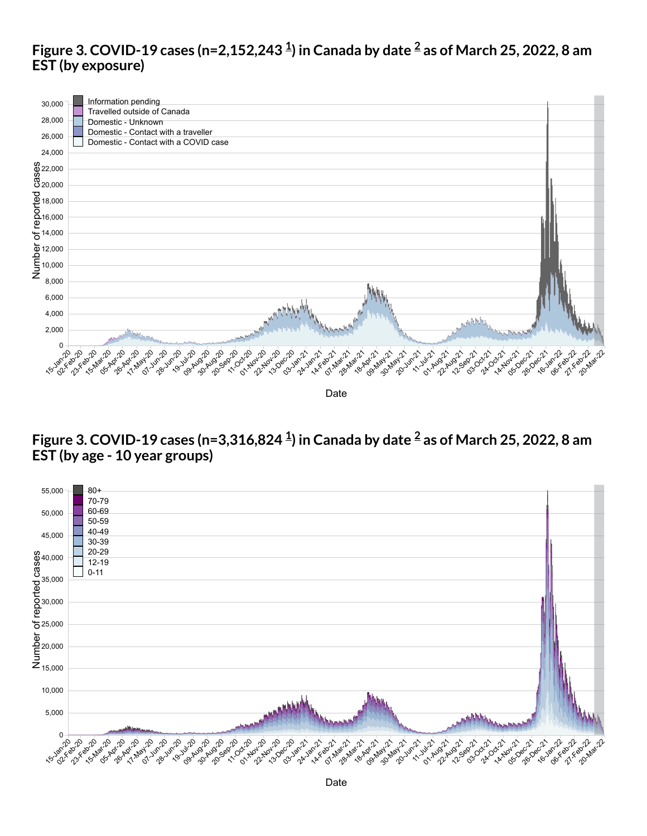### **Figure 3. COVID-19 cases (n=2,152,243 ) in Canada by date as of March 25, 2022, 8 am [1](#page-28-0) [2](#page-28-1) EST (by exposure)**



### **Figure 3. COVID-19 cases (n=3,316,824 ) in Canada by date as of March 25, 2022, 8 am [1](#page-28-0) [2](#page-28-1)EST (by age - 10 year groups)**



Date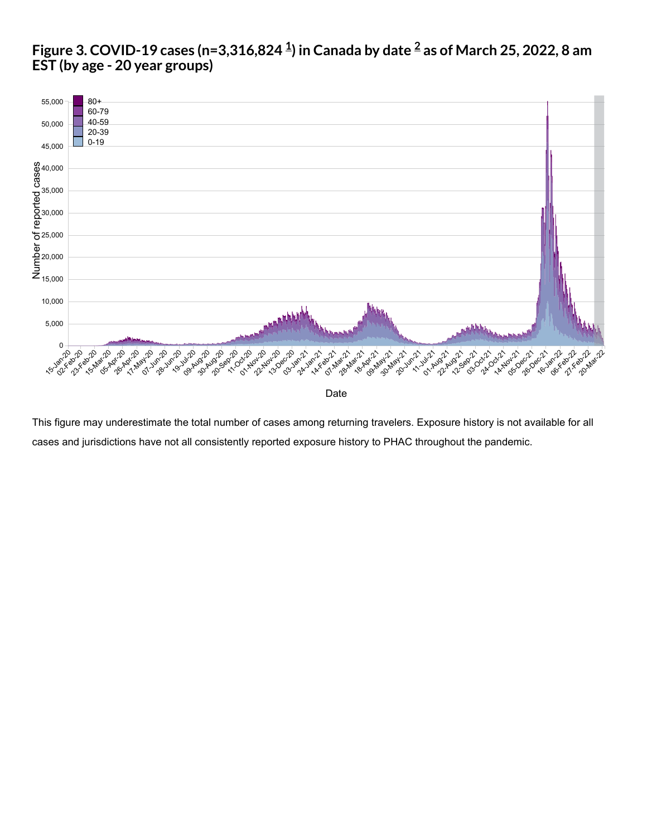#### **Figure 3. COVID-19 cases (n=3,316,824 ) in Canada by date as of March 25, 2022, 8 am [1](#page-28-0) [2](#page-28-1)EST (by age - 20 year groups)**



This figure may underestimate the total number of cases among returning travelers. Exposure history is not available for all cases and jurisdictions have not all consistently reported exposure history to PHAC throughout the pandemic.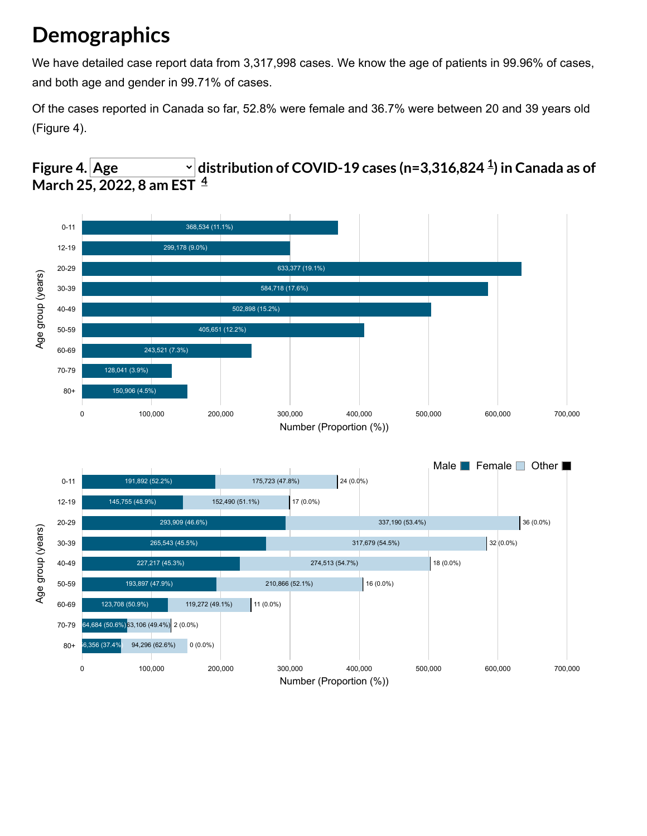# **Demographics**

We have detailed case report data from 3,317,998 cases. We know the age of patients in 99.96% of cases, and both age and gender in 99.71% of cases.

Of the cases reported in Canada so far, 52.8% were female and 36.7% were between 20 and 39 years old (Figure 4).

### <span id="page-16-0"></span>**Figure** 4.  $\vert$  Age  $\vert$   $\vert$   $\vert$  distribution of COVID-[1](#page-28-0)9 cases (n=3,316,824  $^{1\over 4}$ ) in Canada as of **March 25, 2022, 8 am EST [4](#page-28-2)**

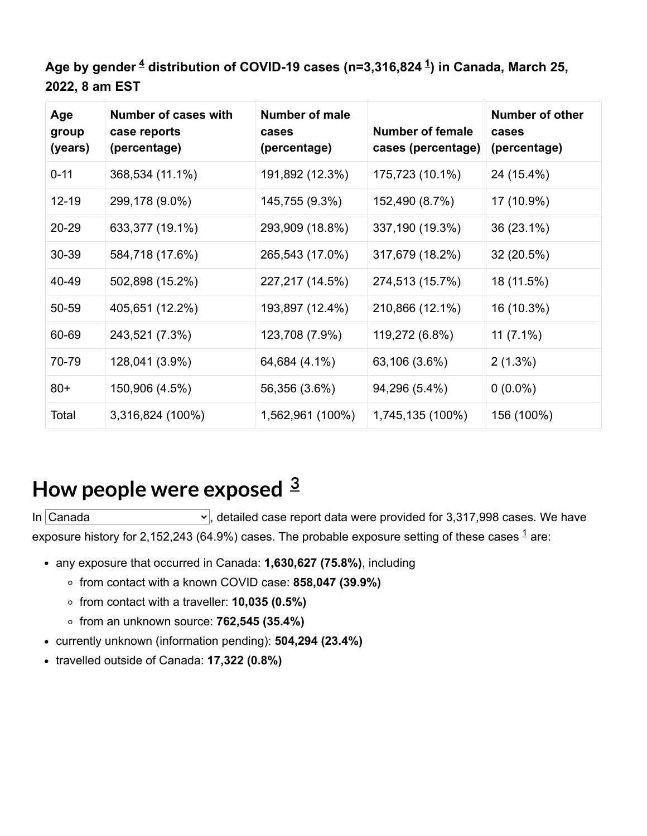Age by gender <sup><u>[4](#page-28-2)</u></sup> distribution of COVID-[1](#page-28-0)9 cases (n=3,316,824 <sup>1</sup>) in Canada, March 25, **2022, 8 am EST**

| Age<br>group<br>(years) | Number of cases with<br>case reports<br>(percentage) | <b>Number of male</b><br>cases<br>(percentage) | <b>Number of female</b><br>cases (percentage) | Number of other<br>cases<br>(percentage) |
|-------------------------|------------------------------------------------------|------------------------------------------------|-----------------------------------------------|------------------------------------------|
| $0 - 11$                | 368,534 (11.1%)                                      | 191,892 (12.3%)                                | 175,723 (10.1%)                               | 24 (15.4%)                               |
| 12-19                   | 299,178 (9.0%)                                       | 145,755 (9.3%)                                 | 152,490 (8.7%)                                | 17 (10.9%)                               |
| 20-29                   | 633,377 (19.1%)                                      | 293,909 (18.8%)                                | 337,190 (19.3%)                               | 36 (23.1%)                               |
| 30-39                   | 584,718 (17.6%)                                      | 265,543 (17.0%)                                | 317,679 (18.2%)                               | 32 (20.5%)                               |
| 40-49                   | 502,898 (15.2%)                                      | 227,217 (14.5%)                                | 274,513 (15.7%)                               | 18 (11.5%)                               |
| 50-59                   | 405,651 (12.2%)                                      | 193,897 (12.4%)                                | 210,866 (12.1%)                               | 16 (10.3%)                               |
| 60-69                   | 243,521 (7.3%)                                       | 123,708 (7.9%)                                 | 119,272 (6.8%)                                | $11(7.1\%)$                              |
| 70-79                   | 128,041 (3.9%)                                       | 64,684 (4.1%)                                  | 63,106 (3.6%)                                 | $2(1.3\%)$                               |
| $80+$                   | 150,906 (4.5%)                                       | 56,356 (3.6%)                                  | 94,296 (5.4%)                                 | $0(0.0\%)$                               |
| Total                   | 3,316,824 (100%)                                     | 1,562,961 (100%)                               | 1,745,135 (100%)                              | 156 (100%)                               |

### <span id="page-17-0"></span>**How people were exposed [3](#page-28-3)**

In  $\overline{C}$ anada  $\overline{C}$ , detailed case report data were provided for 3,317,998 cases. We have exposure history for 2,[1](#page-28-0)52,243 (64.9%) cases. The probable exposure setting of these cases  $^{\text{1}}$  are:

- any exposure that occurred in Canada: **1,630,627 (75.8%)**, including
	- from contact with a known COVID case: **858,047 (39.9%)**
	- from contact with a traveller: **10,035 (0.5%)**
	- from an unknown source: **762,545 (35.4%)**
- currently unknown (information pending): **504,294 (23.4%)**
- travelled outside of Canada: **17,322 (0.8%)**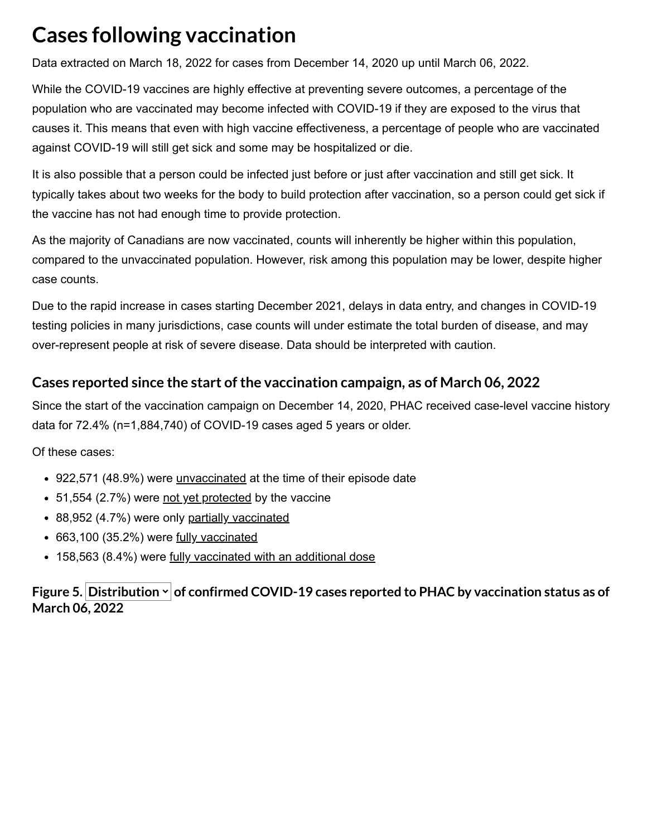# **Cases following vaccination**

Data extracted on March 18, 2022 for cases from December 14, 2020 up until March 06, 2022.

While the COVID-19 vaccines are highly effective at preventing severe outcomes, a percentage of the population who are vaccinated may become infected with COVID-19 if they are exposed to the virus that causes it. This means that even with high vaccine effectiveness, a percentage of people who are vaccinated against COVID-19 will still get sick and some may be hospitalized or die.

It is also possible that a person could be infected just before or just after vaccination and still get sick. It typically takes about two weeks for the body to build protection after vaccination, so a person could get sick if the vaccine has not had enough time to provide protection.

As the majority of Canadians are now vaccinated, counts will inherently be higher within this population, compared to the unvaccinated population. However, risk among this population may be lower, despite higher case counts.

Due to the rapid increase in cases starting December 2021, delays in data entry, and changes in COVID-19 testing policies in many jurisdictions, case counts will under estimate the total burden of disease, and may over-represent people at risk of severe disease. Data should be interpreted with caution.

### **Cases reported since the start ofthe vaccination campaign, as of March 06, 2022**

Since the start of the vaccination campaign on December 14, 2020, PHAC received case-level vaccine history data for 72.4% (n=1,884,740) of COVID-19 cases aged 5 years or older.

Of these cases:

- 922,571 (48.9%) were [unvaccinated](#page-22-0) at the time of their episode date
- 51,554 (2.7%) were [not yet protected](#page-22-1) by the vaccine
- 88,952 (4.7%) were only [partially vaccinated](#page-22-2)
- 663,100 (35.2%) were [fully vaccinated](#page-22-3)
- 158,563 (8.4%) were [fully vaccinated with an additional dose](#page-22-4)

#### **Figure 5. Distribution of confirmed COVID-19 cases reported to PHAC by vaccination status as of March 06, 2022**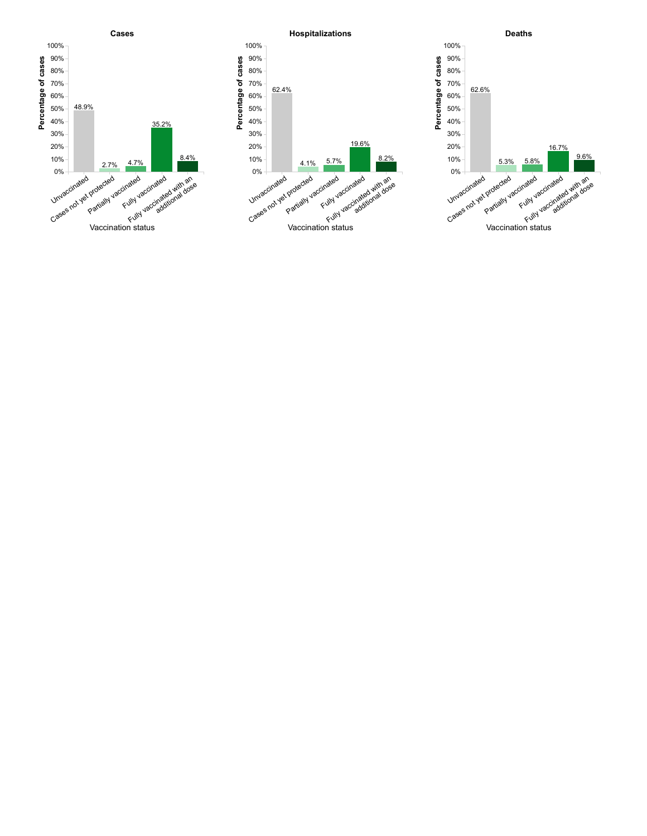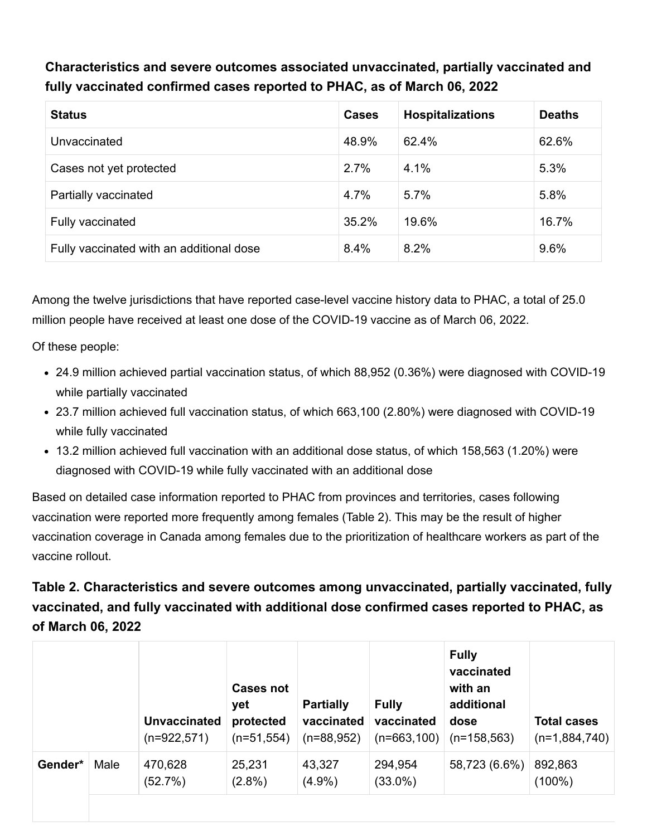**Characteristics and severe outcomes associated unvaccinated, partially vaccinated and fully vaccinated confirmed cases reported to PHAC, as of March 06, 2022**

| <b>Status</b>                            | <b>Cases</b> | <b>Hospitalizations</b> | <b>Deaths</b> |
|------------------------------------------|--------------|-------------------------|---------------|
| Unvaccinated                             | 48.9%        | 62.4%                   | 62.6%         |
| Cases not yet protected                  | 2.7%         | 4.1%                    | 5.3%          |
| Partially vaccinated                     | 4.7%         | 5.7%                    | 5.8%          |
| Fully vaccinated                         | 35.2%        | 19.6%                   | 16.7%         |
| Fully vaccinated with an additional dose | 8.4%         | 8.2%                    | 9.6%          |

Among the twelve jurisdictions that have reported case-level vaccine history data to PHAC, a total of 25.0 million people have received at least one dose of the COVID-19 vaccine as of March 06, 2022.

Of these people:

- 24.9 million achieved partial vaccination status, of which 88,952 (0.36%) were diagnosed with COVID-19 while partially vaccinated
- 23.7 million achieved full vaccination status, of which 663,100 (2.80%) were diagnosed with COVID-19 while fully vaccinated
- 13.2 million achieved full vaccination with an additional dose status, of which 158,563 (1.20%) were diagnosed with COVID-19 while fully vaccinated with an additional dose

Based on detailed case information reported to PHAC from provinces and territories, cases following vaccination were reported more frequently among females (Table 2). This may be the result of higher vaccination coverage in Canada among females due to the prioritization of healthcare workers as part of the vaccine rollout.

### **Table 2. Characteristics and severe outcomes among unvaccinated, partially vaccinated, fully vaccinated, and fully vaccinated with additional dose confirmed cases reported to PHAC, as of March 06, 2022**

|         |      | <b>Unvaccinated</b><br>$(n=922,571)$ | <b>Cases not</b><br>yet<br>protected<br>$(n=51,554)$ | <b>Partially</b><br>vaccinated<br>$(n=88,952)$ | <b>Fully</b><br>vaccinated<br>$(n=663,100)$ | <b>Fully</b><br>vaccinated<br>with an<br>additional<br>dose<br>$(n=158, 563)$ | <b>Total cases</b><br>$(n=1,884,740)$ |
|---------|------|--------------------------------------|------------------------------------------------------|------------------------------------------------|---------------------------------------------|-------------------------------------------------------------------------------|---------------------------------------|
| Gender* | Male | 470,628<br>(52.7%)                   | 25,231<br>$(2.8\%)$                                  | 43,327<br>$(4.9\%)$                            | 294,954<br>$(33.0\%)$                       | 58,723 (6.6%)                                                                 | 892,863<br>(100%)                     |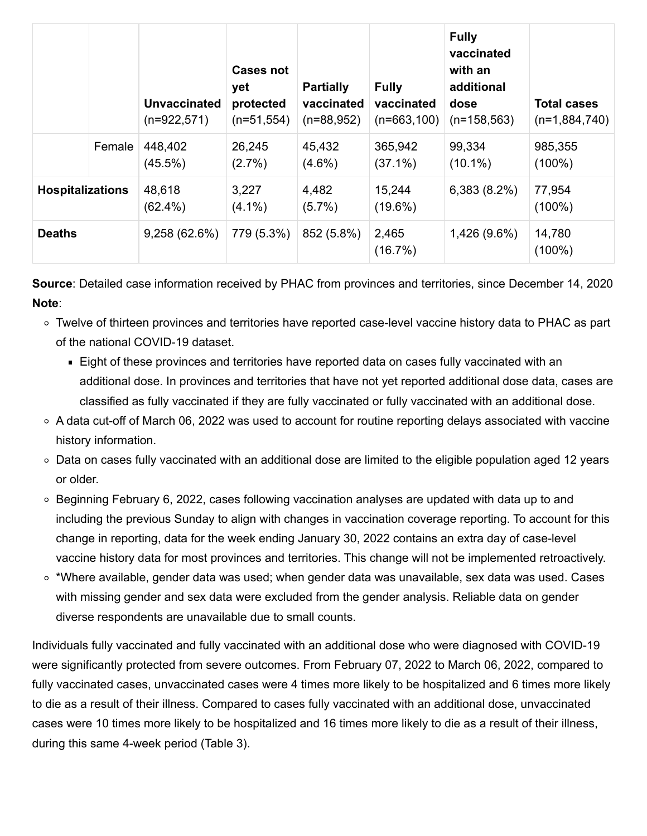|                         |        | <b>Unvaccinated</b><br>(n=922,571) | <b>Cases not</b><br>yet<br>protected<br>$(n=51,554)$ | <b>Partially</b><br>vaccinated<br>$(n=88,952)$ | <b>Fully</b><br>vaccinated<br>$(n=663,100)$ | <b>Fully</b><br>vaccinated<br>with an<br>additional<br>dose<br>$(n=158, 563)$ | <b>Total cases</b><br>$(n=1,884,740)$ |
|-------------------------|--------|------------------------------------|------------------------------------------------------|------------------------------------------------|---------------------------------------------|-------------------------------------------------------------------------------|---------------------------------------|
|                         | Female | 448,402<br>$(45.5\%)$              | 26,245<br>$(2.7\%)$                                  | 45,432<br>$(4.6\%)$                            | 365,942<br>$(37.1\%)$                       | 99,334<br>$(10.1\%)$                                                          | 985,355<br>$(100\%)$                  |
| <b>Hospitalizations</b> |        | 48,618<br>$(62.4\%)$               | 3,227<br>$(4.1\%)$                                   | 4,482<br>$(5.7\%)$                             | 15,244<br>$(19.6\%)$                        | 6,383(8.2%)                                                                   | 77,954<br>$(100\%)$                   |
| <b>Deaths</b>           |        | 9,258(62.6%)                       | 779 (5.3%)                                           | 852 (5.8%)                                     | 2,465<br>(16.7%)                            | 1,426 (9.6%)                                                                  | 14,780<br>(100%)                      |

**Source**: Detailed case information received by PHAC from provinces and territories, since December 14, 2020 **Note**:

- Twelve of thirteen provinces and territories have reported case-level vaccine history data to PHAC as part of the national COVID-19 dataset.
	- Eight of these provinces and territories have reported data on cases fully vaccinated with an additional dose. In provinces and territories that have not yet reported additional dose data, cases are classified as fully vaccinated if they are fully vaccinated or fully vaccinated with an additional dose.
- $\circ$  A data cut-off of March 06, 2022 was used to account for routine reporting delays associated with vaccine history information.
- Data on cases fully vaccinated with an additional dose are limited to the eligible population aged 12 years or older.
- Beginning February 6, 2022, cases following vaccination analyses are updated with data up to and including the previous Sunday to align with changes in vaccination coverage reporting. To account for this change in reporting, data for the week ending January 30, 2022 contains an extra day of case-level vaccine history data for most provinces and territories. This change will not be implemented retroactively.
- \*Where available, gender data was used; when gender data was unavailable, sex data was used. Cases with missing gender and sex data were excluded from the gender analysis. Reliable data on gender diverse respondents are unavailable due to small counts.

Individuals fully vaccinated and fully vaccinated with an additional dose who were diagnosed with COVID-19 were significantly protected from severe outcomes. From February 07, 2022 to March 06, 2022, compared to fully vaccinated cases, unvaccinated cases were 4 times more likely to be hospitalized and 6 times more likely to die as a result of their illness. Compared to cases fully vaccinated with an additional dose, unvaccinated cases were 10 times more likely to be hospitalized and 16 times more likely to die as a result of their illness, during this same 4-week period (Table 3).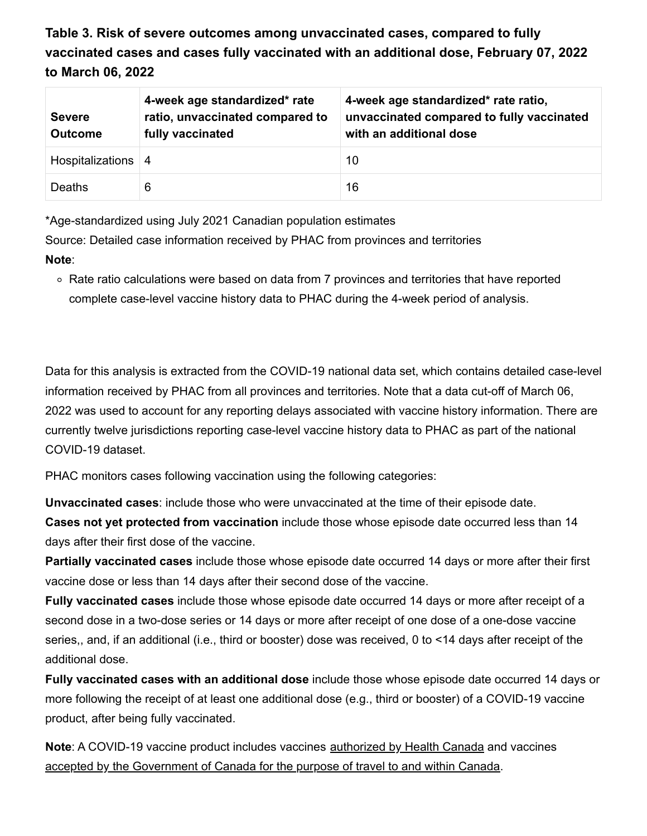**Table 3. Risk of severe outcomes among unvaccinated cases, compared to fully vaccinated cases and cases fully vaccinated with an additional dose, February 07, 2022 to March 06, 2022**

| <b>Severe</b><br><b>Outcome</b> | 4-week age standardized* rate<br>ratio, unvaccinated compared to<br>fully vaccinated | 4-week age standardized* rate ratio,<br>unvaccinated compared to fully vaccinated<br>with an additional dose |
|---------------------------------|--------------------------------------------------------------------------------------|--------------------------------------------------------------------------------------------------------------|
| Hospitalizations   4            |                                                                                      | 10                                                                                                           |
| <b>Deaths</b>                   | 6                                                                                    | 16                                                                                                           |

\*Age-standardized using July 2021 Canadian population estimates

Source: Detailed case information received by PHAC from provinces and territories **Note**:

Rate ratio calculations were based on data from 7 provinces and territories that have reported complete case-level vaccine history data to PHAC during the 4-week period of analysis.

Data for this analysis is extracted from the COVID-19 national data set, which contains detailed case-level information received by PHAC from all provinces and territories. Note that a data cut-off of March 06, 2022 was used to account for any reporting delays associated with vaccine history information. There are currently twelve jurisdictions reporting case-level vaccine history data to PHAC as part of the national COVID-19 dataset.

PHAC monitors cases following vaccination using the following categories:

<span id="page-22-1"></span><span id="page-22-0"></span>**Unvaccinated cases**: include those who were unvaccinated at the time of their episode date. **Cases not yet protected from vaccination** include those whose episode date occurred less than 14 days after their first dose of the vaccine.

<span id="page-22-2"></span>**Partially vaccinated cases** include those whose episode date occurred 14 days or more after their first vaccine dose or less than 14 days after their second dose of the vaccine.

<span id="page-22-3"></span>**Fully vaccinated cases** include those whose episode date occurred 14 days or more after receipt of a second dose in a two-dose series or 14 days or more after receipt of one dose of a one-dose vaccine series,, and, if an additional (i.e., third or booster) dose was received, 0 to <14 days after receipt of the additional dose.

<span id="page-22-4"></span>**Fully vaccinated cases with an additional dose** include those whose episode date occurred 14 days or more following the receipt of at least one additional dose (e.g., third or booster) of a COVID-19 vaccine product, after being fully vaccinated.

**Note**: A COVID-19 vaccine product includes vaccines [authorized by Health Canada](https://www.canada.ca/en/health-canada/services/drugs-health-products/covid19-industry/drugs-vaccines-treatments/authorization/list-drugs.html) and vaccines [accepted by the Government of Canada for the purpose of travel to and within Canada](https://travel.gc.ca/travel-covid/travel-restrictions/covid-vaccinated-travellers-entering-canada#determine-fully).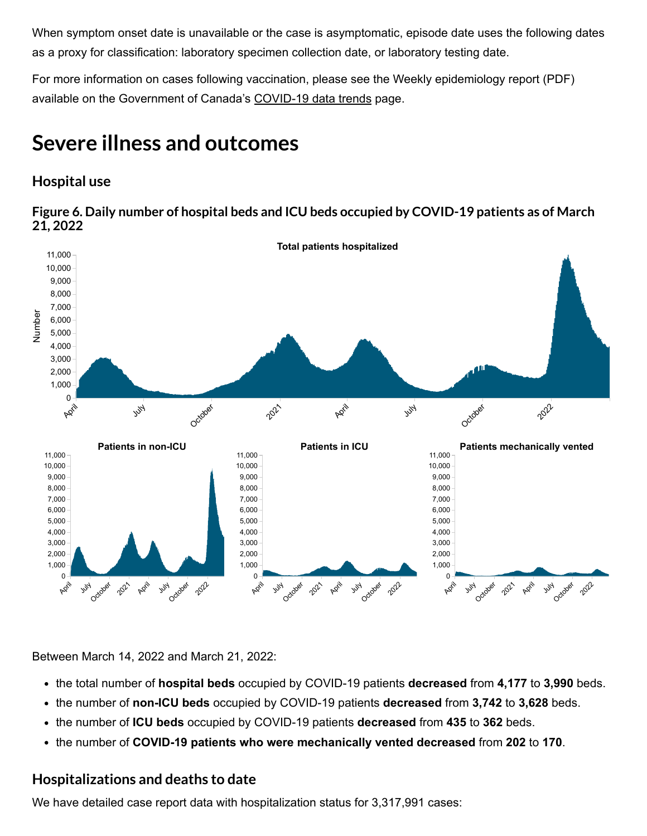When symptom onset date is unavailable or the case is asymptomatic, episode date uses the following dates as a proxy for classification: laboratory specimen collection date, or laboratory testing date.

For more information on cases following vaccination, please see the Weekly epidemiology report (PDF) available on the Government of Canada's [COVID-19 data trends](https://www.canada.ca/en/public-health/services/diseases/coronavirus-disease-covid-19/epidemiological-economic-research-data.html) page.

### **Severe illness and outcomes**

### **Hospital use**

**Figure 6. Daily number of hospital beds and ICU beds occupied by COVID-19 patients as of March 21, 2022**



Between March 14, 2022 and March 21, 2022:

- the total number of **hospital beds** occupied by COVID-19 patients **decreased** from **4,177** to **3,990** beds.
- the number of **non-ICU beds** occupied by COVID-19 patients **decreased** from **3,742** to **3,628** beds.
- the number of **ICU beds** occupied by COVID-19 patients **decreased** from **435** to **362** beds.
- the number of **COVID-19 patients who were mechanically vented decreased** from **202** to **170**.

### **Hospitalizations and deaths to date**

We have detailed case report data with hospitalization status for 3,317,991 cases: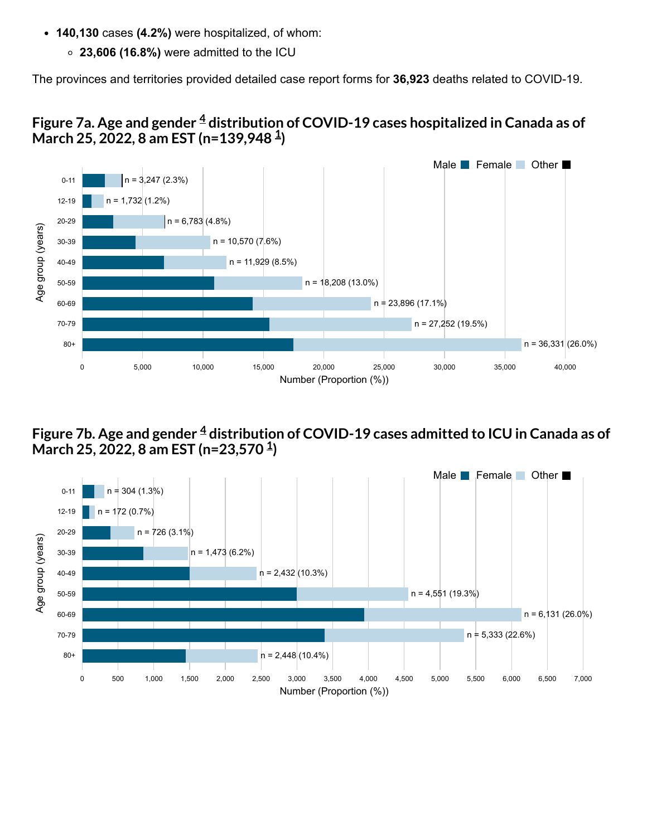- **140,130** cases **(4.2%)** were hospitalized, of whom:
	- **23,606 (16.8%)** were admitted to the ICU

The provinces and territories provided detailed case report forms for **36,923** deaths related to COVID-19.





#### **Figure 7b. Age and gender distribution of COVID-19 cases admitted to ICU in Canada as of [4](#page-28-2) March 25, 2022, 8 am EST (n=23,570 ) [1](#page-28-0)**

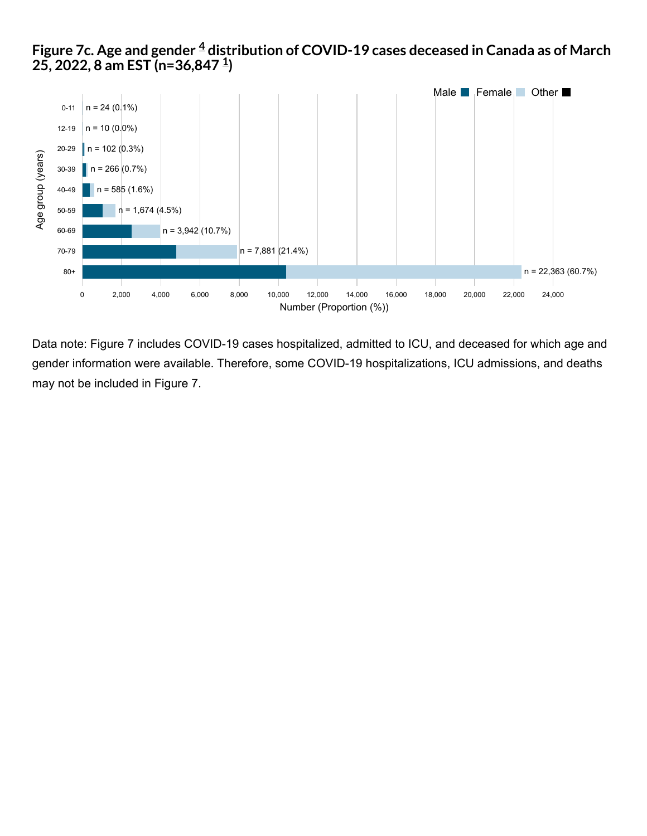#### **Figure 7c. Age and gender distribution of COVID-19 cases deceased in Canada as of March 25, 2022, 8 am EST (n=36,847 ) [4](#page-28-2) [1](#page-28-0)**



Data note: Figure 7 includes COVID-19 cases hospitalized, admitted to ICU, and deceased for which age and gender information were available. Therefore, some COVID-19 hospitalizations, ICU admissions, and deaths may not be included in Figure 7.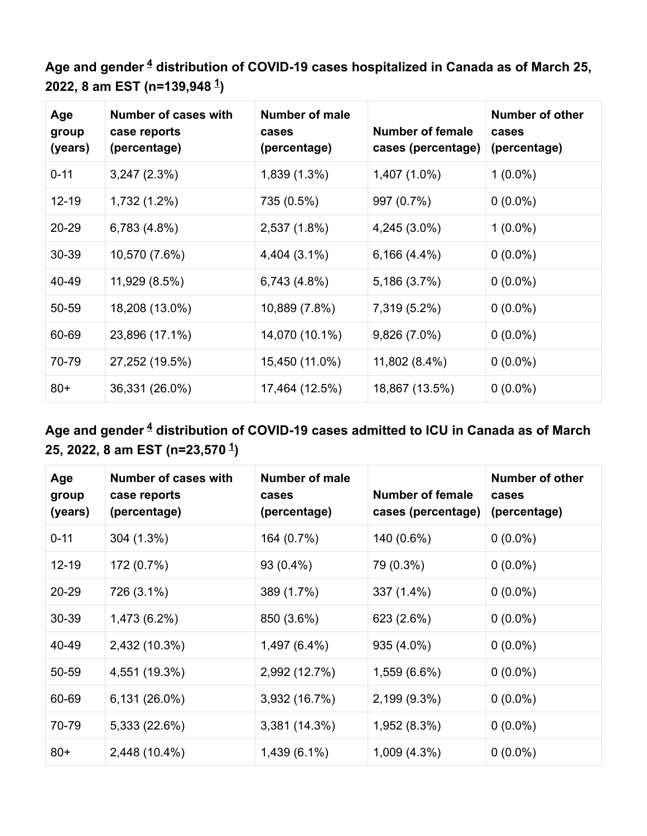Age and gender  $\frac{4}{5}$  $\frac{4}{5}$  $\frac{4}{5}$  distribution of COVID-19 cases hospitalized in Canada as of March 25, **2022, 8 am EST (n=139,948 ) [1](#page-28-0)**

| Age<br>group<br>(years) | <b>Number of cases with</b><br>case reports<br>(percentage) | <b>Number of male</b><br>cases<br>(percentage) | <b>Number of female</b><br>cases (percentage) | <b>Number of other</b><br>cases<br>(percentage) |
|-------------------------|-------------------------------------------------------------|------------------------------------------------|-----------------------------------------------|-------------------------------------------------|
| $0 - 11$                | 3,247(2.3%)                                                 | 1,839 (1.3%)                                   | 1,407 (1.0%)                                  | $1(0.0\%)$                                      |
| 12-19                   | 1,732 (1.2%)                                                | 735 (0.5%)                                     | 997 (0.7%)                                    | $0(0.0\%)$                                      |
| 20-29                   | 6,783 (4.8%)                                                | 2,537 (1.8%)                                   | 4,245 (3.0%)                                  | $1(0.0\%)$                                      |
| 30-39                   | 10,570 (7.6%)                                               | 4,404 (3.1%)                                   | $6,166(4.4\%)$                                | $0(0.0\%)$                                      |
| 40-49                   | 11,929 (8.5%)                                               | 6,743 (4.8%)                                   | 5,186 (3.7%)                                  | $0(0.0\%)$                                      |
| 50-59                   | 18,208 (13.0%)                                              | 10,889 (7.8%)                                  | 7,319 (5.2%)                                  | $0(0.0\%)$                                      |
| 60-69                   | 23,896 (17.1%)                                              | 14,070 (10.1%)                                 | 9,826 (7.0%)                                  | $0(0.0\%)$                                      |
| 70-79                   | 27,252 (19.5%)                                              | 15,450 (11.0%)                                 | 11,802 (8.4%)                                 | $0(0.0\%)$                                      |
| $80+$                   | 36,331 (26.0%)                                              | 17,464 (12.5%)                                 | 18,867 (13.5%)                                | $0(0.0\%)$                                      |

### Age and gender  $\frac{4}{}$  $\frac{4}{}$  $\frac{4}{}$  distribution of COVID-19 cases admitted to ICU in Canada as of March **25, 2022, 8 am EST (n=23,570 ) [1](#page-28-0)**

| Age<br>group<br>(years) | <b>Number of cases with</b><br>case reports<br>(percentage) | <b>Number of male</b><br>cases<br>(percentage) | <b>Number of female</b><br>cases (percentage) | <b>Number of other</b><br>cases<br>(percentage) |
|-------------------------|-------------------------------------------------------------|------------------------------------------------|-----------------------------------------------|-------------------------------------------------|
| $0 - 11$                | 304 (1.3%)                                                  | 164 (0.7%)                                     | 140 (0.6%)                                    | $0(0.0\%)$                                      |
| $12 - 19$               | 172 (0.7%)                                                  | 93 (0.4%)                                      | 79 (0.3%)                                     | $0(0.0\%)$                                      |
| 20-29                   | 726 (3.1%)                                                  | 389 (1.7%)                                     | 337 (1.4%)                                    | $0(0.0\%)$                                      |
| 30-39                   | 1,473 (6.2%)                                                | 850 (3.6%)                                     | 623 (2.6%)                                    | $0(0.0\%)$                                      |
| 40-49                   | 2,432 (10.3%)                                               | 1,497 (6.4%)                                   | 935 (4.0%)                                    | $0(0.0\%)$                                      |
| 50-59                   | 4,551 (19.3%)                                               | 2,992 (12.7%)                                  | 1,559 (6.6%)                                  | $0(0.0\%)$                                      |
| 60-69                   | 6,131 (26.0%)                                               | 3,932 (16.7%)                                  | 2,199 (9.3%)                                  | $0(0.0\%)$                                      |
| 70-79                   | 5,333 (22.6%)                                               | 3,381 (14.3%)                                  | 1,952 (8.3%)                                  | $0(0.0\%)$                                      |
| $80+$                   | 2,448 (10.4%)                                               | 1,439 (6.1%)                                   | $1,009(4.3\%)$                                | $0(0.0\%)$                                      |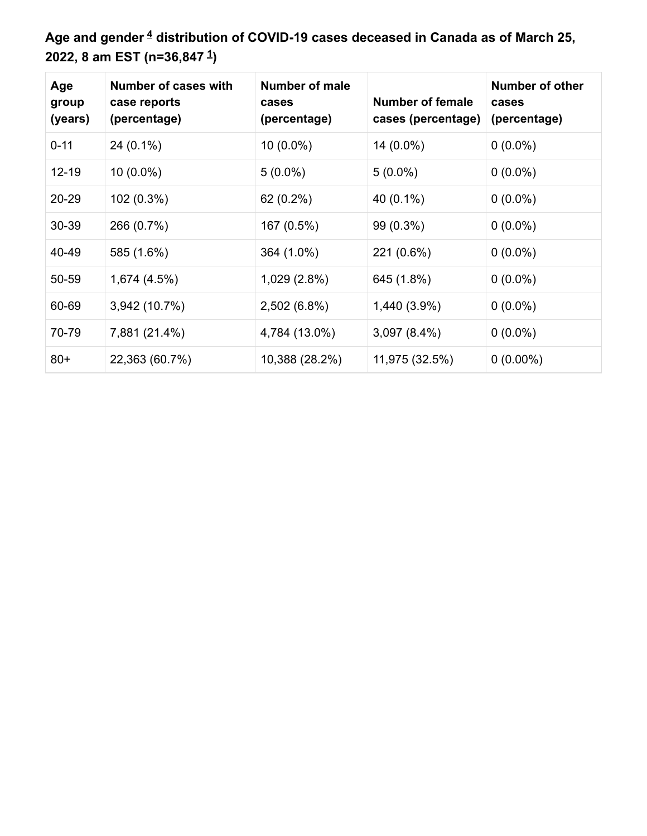Age and gender  $\frac{4}{5}$  $\frac{4}{5}$  $\frac{4}{5}$  distribution of COVID-19 cases deceased in Canada as of March 25, **2022, 8 am EST (n=36,847 ) [1](#page-28-0)**

| Age<br>group<br>(years) | Number of cases with<br>case reports<br>(percentage) | <b>Number of male</b><br>cases<br>(percentage) | <b>Number of female</b><br>cases (percentage) | <b>Number of other</b><br>cases<br>(percentage) |
|-------------------------|------------------------------------------------------|------------------------------------------------|-----------------------------------------------|-------------------------------------------------|
| $0 - 11$                | 24 (0.1%)                                            | 10 (0.0%)                                      | 14 (0.0%)                                     | $0(0.0\%)$                                      |
| $12 - 19$               | $10(0.0\%)$                                          | $5(0.0\%)$                                     | $5(0.0\%)$                                    | $0(0.0\%)$                                      |
| 20-29                   | 102 (0.3%)                                           | 62 (0.2%)                                      | 40 (0.1%)                                     | $0(0.0\%)$                                      |
| 30-39                   | 266 (0.7%)                                           | 167 (0.5%)                                     | 99 (0.3%)                                     | $0(0.0\%)$                                      |
| 40-49                   | 585 (1.6%)                                           | 364 (1.0%)                                     | 221 (0.6%)                                    | $0(0.0\%)$                                      |
| 50-59                   | 1,674 (4.5%)                                         | 1,029 (2.8%)                                   | 645 (1.8%)                                    | $0(0.0\%)$                                      |
| 60-69                   | 3,942 (10.7%)                                        | 2,502 (6.8%)                                   | 1,440 (3.9%)                                  | $0(0.0\%)$                                      |
| 70-79                   | 7,881 (21.4%)                                        | 4,784 (13.0%)                                  | $3,097(8.4\%)$                                | $0(0.0\%)$                                      |
| $80+$                   | 22,363 (60.7%)                                       | 10,388 (28.2%)                                 | 11,975 (32.5%)                                | $0(0.00\%)$                                     |